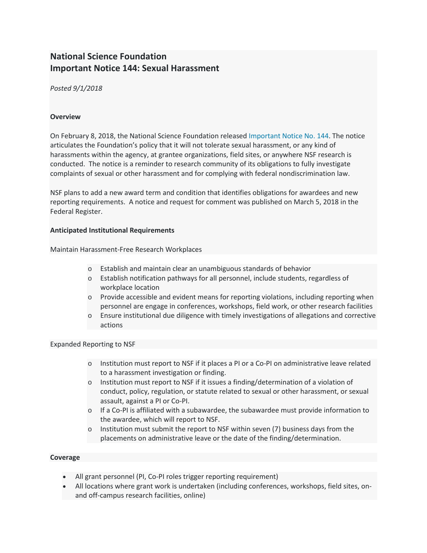# **National Science Foundation Important Notice 144: Sexual Harassment**

*Posted 9/1/2018*

## **Overview**

On February 8, 2018, the National Science Foundation released [Important Notice No. 144.](https://www.nsf.gov/publications/pub_summ.jsp?ods_key=in144) The notice articulates the Foundation's policy that it will not tolerate sexual harassment, or any kind of harassments within the agency, at grantee organizations, field sites, or anywhere NSF research is conducted. The notice is a reminder to research community of its obligations to fully investigate complaints of sexual or other harassment and for complying with federal nondiscrimination law.

NSF plans to add a new award term and condition that identifies obligations for awardees and new reporting requirements. A notice and request for comment was published on March 5, 2018 in the Federal Register.

## **Anticipated Institutional Requirements**

Maintain Harassment-Free Research Workplaces

- o Establish and maintain clear an unambiguous standards of behavior
- o Establish notification pathways for all personnel, include students, regardless of workplace location
- o Provide accessible and evident means for reporting violations, including reporting when personnel are engage in conferences, workshops, field work, or other research facilities
- o Ensure institutional due diligence with timely investigations of allegations and corrective actions

## Expanded Reporting to NSF

- o Institution must report to NSF if it places a PI or a Co-PI on administrative leave related to a harassment investigation or finding.
- o Institution must report to NSF if it issues a finding/determination of a violation of conduct, policy, regulation, or statute related to sexual or other harassment, or sexual assault, against a PI or Co-PI.
- o If a Co-PI is affiliated with a subawardee, the subawardee must provide information to the awardee, which will report to NSF.
- $\circ$  Institution must submit the report to NSF within seven (7) business days from the placements on administrative leave or the date of the finding/determination.

## **Coverage**

- All grant personnel (PI, Co-PI roles trigger reporting requirement)
- All locations where grant work is undertaken (including conferences, workshops, field sites, onand off-campus research facilities, online)